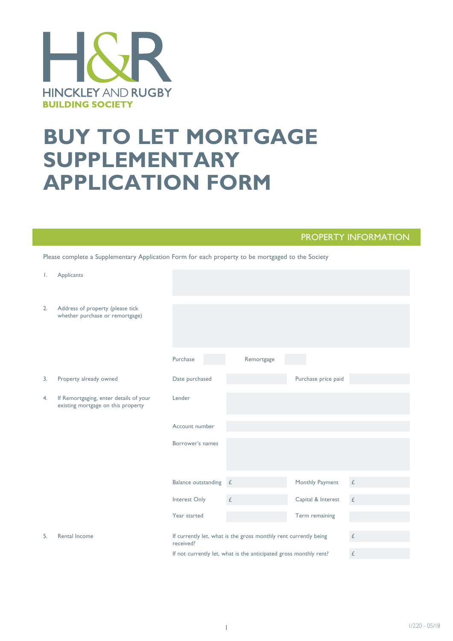

# **BUY TO LET MORTGAGE SUPPLEMENTARY APPLICATION FORM**

### PROPERTY INFORMATION

Please complete a Supplementary Application Form for each property to be mortgaged to the Society

| Τ. | Applicants                                                                   |                                                                   |                                                                  |                     |                    |
|----|------------------------------------------------------------------------------|-------------------------------------------------------------------|------------------------------------------------------------------|---------------------|--------------------|
| 2. | Address of property (please tick<br>whether purchase or remortgage)          |                                                                   |                                                                  |                     |                    |
|    |                                                                              | Purchase                                                          | Remortgage                                                       |                     |                    |
| 3. | Property already owned                                                       | Date purchased                                                    |                                                                  | Purchase price paid |                    |
| 4. | If Remortgaging, enter details of your<br>existing mortgage on this property | Lender                                                            |                                                                  |                     |                    |
|    |                                                                              | Account number                                                    |                                                                  |                     |                    |
|    |                                                                              | Borrower's names                                                  |                                                                  |                     |                    |
|    |                                                                              |                                                                   |                                                                  |                     |                    |
|    |                                                                              | <b>Balance outstanding</b>                                        | $\pounds$                                                        | Monthly Payment     | $\pounds$          |
|    |                                                                              | Interest Only                                                     | $\pounds$                                                        | Capital & Interest  | $\acute{\text{r}}$ |
|    |                                                                              | Year started                                                      |                                                                  | Term remaining      |                    |
| 5. | Rental Income                                                                | received?                                                         | If currently let, what is the gross monthly rent currently being |                     | £                  |
|    |                                                                              | If not currently let, what is the anticipated gross monthly rent? |                                                                  |                     | £                  |